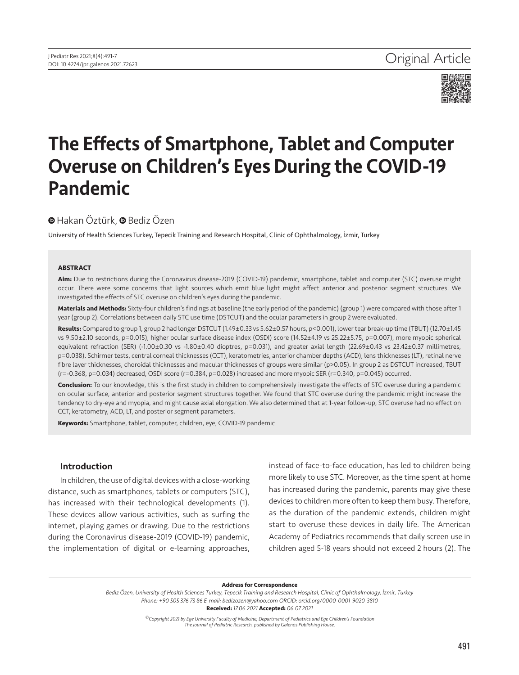

# The Effects of Smartphone, Tablet and Computer Overuse on Children's Eyes During the COVID-19 Pandemic

# **■**Hakan Öztürk, ■ Bediz Özen

University of Health Sciences Turkey, Tepecik Training and Research Hospital, Clinic of Ophthalmology, İzmir, Turkey

#### **ABSTRACT**

**Aim:** Due to restrictions during the Coronavirus disease-2019 (COVID-19) pandemic, smartphone, tablet and computer (STC) overuse might occur. There were some concerns that light sources which emit blue light might affect anterior and posterior segment structures. We investigated the effects of STC overuse on children's eyes during the pandemic.

**Materials and Methods:** Sixty-four children's findings at baseline (the early period of the pandemic) (group 1) were compared with those after 1 year (group 2). Correlations between daily STC use time (DSTCUT) and the ocular parameters in group 2 were evaluated.

**Results:** Compared to group 1, group 2 had longer DSTCUT (1.49±0.33 vs 5.62±0.57 hours, p<0.001), lower tear break-up time (TBUT) (12.70±1.45 vs 9.50±2.10 seconds, p=0.015), higher ocular surface disease index (OSDI) score (14.52±4.19 vs 25.22±5.75, p=0.007), more myopic spherical equivalent refraction (SER) (-1.00±0.30 vs -1.80±0.40 dioptres, p=0.031), and greater axial length (22.69±0.43 vs 23.42±0.37 millimetres, p=0.038). Schirmer tests, central corneal thicknesses (CCT), keratometries, anterior chamber depths (ACD), lens thicknesses (LT), retinal nerve fibre layer thicknesses, choroidal thicknesses and macular thicknesses of groups were similar (p>0.05). In group 2 as DSTCUT increased, TBUT (r=-0.368, p=0.034) decreased, OSDI score (r=0.384, p=0.028) increased and more myopic SER (r=0.340, p=0.045) occurred.

**Conclusion:** To our knowledge, this is the first study in children to comprehensively investigate the effects of STC overuse during a pandemic on ocular surface, anterior and posterior segment structures together. We found that STC overuse during the pandemic might increase the tendency to dry-eye and myopia, and might cause axial elongation. We also determined that at 1-year follow-up, STC overuse had no effect on CCT, keratometry, ACD, LT, and posterior segment parameters.

**Keywords:** Smartphone, tablet, computer, children, eye, COVID-19 pandemic

### Introduction

In children, the use of digital devices with a close-working distance, such as smartphones, tablets or computers (STC), has increased with their technological developments (1). These devices allow various activities, such as surfing the internet, playing games or drawing. Due to the restrictions during the Coronavirus disease-2019 (COVID-19) pandemic, the implementation of digital or e-learning approaches,

instead of face-to-face education, has led to children being more likely to use STC. Moreover, as the time spent at home has increased during the pandemic, parents may give these devices to children more often to keep them busy. Therefore, as the duration of the pandemic extends, children might start to overuse these devices in daily life. The American Academy of Pediatrics recommends that daily screen use in children aged 5-18 years should not exceed 2 hours (2). The

#### **Address for Correspondence**

*Bediz Özen, University of Health Sciences Turkey, Tepecik Training and Research Hospital, Clinic of Ophthalmology, İzmir, Turkey Phone: +90 505 376 73 86 E-mail: bedizozen@yahoo.com ORCID: orcid.org/0000-0001-9020-3810*

**Received:** *17.06.2021* **Accepted:** *06.07.2021*

*©Copyright 2021 by Ege University Faculty of Medicine, Department of Pediatrics and Ege Children's Foundation The Journal of Pediatric Research, published by Galenos Publishing House.*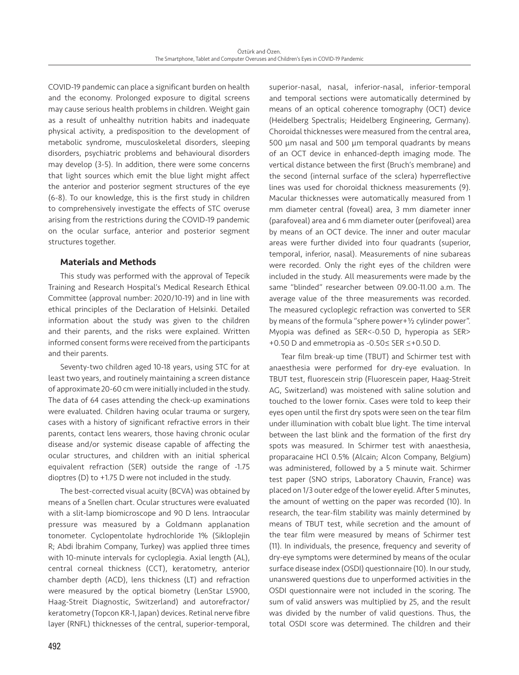COVID-19 pandemic can place a significant burden on health and the economy. Prolonged exposure to digital screens may cause serious health problems in children. Weight gain as a result of unhealthy nutrition habits and inadequate physical activity, a predisposition to the development of metabolic syndrome, musculoskeletal disorders, sleeping disorders, psychiatric problems and behavioural disorders may develop (3-5). In addition, there were some concerns that light sources which emit the blue light might affect the anterior and posterior segment structures of the eye (6-8). To our knowledge, this is the first study in children to comprehensively investigate the effects of STC overuse arising from the restrictions during the COVID-19 pandemic on the ocular surface, anterior and posterior segment structures together.

# Materials and Methods

This study was performed with the approval of Tepecik Training and Research Hospital's Medical Research Ethical Committee (approval number: 2020/10-19) and in line with ethical principles of the Declaration of Helsinki. Detailed information about the study was given to the children and their parents, and the risks were explained. Written informed consent forms were received from the participants and their parents.

Seventy-two children aged 10-18 years, using STC for at least two years, and routinely maintaining a screen distance of approximate 20-60 cm were initially included in the study. The data of 64 cases attending the check-up examinations were evaluated. Children having ocular trauma or surgery, cases with a history of significant refractive errors in their parents, contact lens wearers, those having chronic ocular disease and/or systemic disease capable of affecting the ocular structures, and children with an initial spherical equivalent refraction (SER) outside the range of -1.75 dioptres (D) to +1.75 D were not included in the study.

The best-corrected visual acuity (BCVA) was obtained by means of a Snellen chart. Ocular structures were evaluated with a slit-lamp biomicroscope and 90 D lens. Intraocular pressure was measured by a Goldmann applanation tonometer. Cyclopentolate hydrochloride 1% (Sikloplejin R; Abdi İbrahim Company, Turkey) was applied three times with 10-minute intervals for cycloplegia. Axial length (AL), central corneal thickness (CCT), keratometry, anterior chamber depth (ACD), lens thickness (LT) and refraction were measured by the optical biometry (LenStar LS900, Haag-Streit Diagnostic, Switzerland) and autorefractor/ keratometry (Topcon KR-1, Japan) devices. Retinal nerve fibre layer (RNFL) thicknesses of the central, superior-temporal, superior-nasal, nasal, inferior-nasal, inferior-temporal and temporal sections were automatically determined by means of an optical coherence tomography (OCT) device (Heidelberg Spectralis; Heidelberg Engineering, Germany). Choroidal thicknesses were measured from the central area, 500 µm nasal and 500 µm temporal quadrants by means of an OCT device in enhanced-depth imaging mode. The vertical distance between the first (Bruch's membrane) and the second (internal surface of the sclera) hyperreflective lines was used for choroidal thickness measurements (9). Macular thicknesses were automatically measured from 1 mm diameter central (foveal) area, 3 mm diameter inner (parafoveal) area and 6 mm diameter outer (perifoveal) area by means of an OCT device. The inner and outer macular areas were further divided into four quadrants (superior, temporal, inferior, nasal). Measurements of nine subareas were recorded. Only the right eyes of the children were included in the study. All measurements were made by the same "blinded" researcher between 09.00-11.00 a.m. The average value of the three measurements was recorded. The measured cycloplegic refraction was converted to SER by means of the formula "sphere power+½ cylinder power". Myopia was defined as SER<-0.50 D, hyperopia as SER> +0.50 D and emmetropia as -0.50≤ SER ≤+0.50 D.

Tear film break-up time (TBUT) and Schirmer test with anaesthesia were performed for dry-eye evaluation. In TBUT test, fluorescein strip (Fluorescein paper, Haag-Streit AG, Switzerland) was moistened with saline solution and touched to the lower fornix. Cases were told to keep their eyes open until the first dry spots were seen on the tear film under illumination with cobalt blue light. The time interval between the last blink and the formation of the first dry spots was measured. In Schirmer test with anaesthesia, proparacaine HCl 0.5% (Alcain; Alcon Company, Belgium) was administered, followed by a 5 minute wait. Schirmer test paper (SNO strips, Laboratory Chauvin, France) was placed on 1/3 outer edge of the lower eyelid. After 5 minutes, the amount of wetting on the paper was recorded (10). In research, the tear-film stability was mainly determined by means of TBUT test, while secretion and the amount of the tear film were measured by means of Schirmer test (11). In individuals, the presence, frequency and severity of dry-eye symptoms were determined by means of the ocular surface disease index (OSDI) questionnaire (10). In our study, unanswered questions due to unperformed activities in the OSDI questionnaire were not included in the scoring. The sum of valid answers was multiplied by 25, and the result was divided by the number of valid questions. Thus, the total OSDI score was determined. The children and their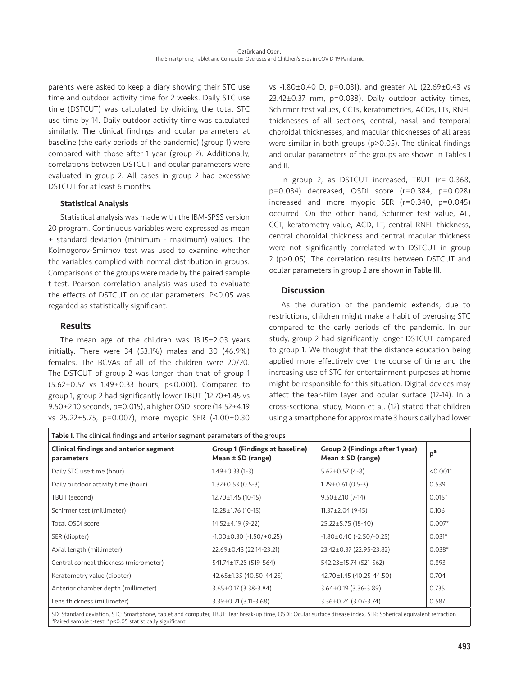parents were asked to keep a diary showing their STC use time and outdoor activity time for 2 weeks. Daily STC use time (DSTCUT) was calculated by dividing the total STC use time by 14. Daily outdoor activity time was calculated similarly. The clinical findings and ocular parameters at baseline (the early periods of the pandemic) (group 1) were compared with those after 1 year (group 2). Additionally, correlations between DSTCUT and ocular parameters were evaluated in group 2. All cases in group 2 had excessive DSTCUT for at least 6 months.

# Statistical Analysis

Statistical analysis was made with the IBM-SPSS version 20 program. Continuous variables were expressed as mean ± standard deviation (minimum - maximum) values. The Kolmogorov-Smirnov test was used to examine whether the variables complied with normal distribution in groups. Comparisons of the groups were made by the paired sample t-test. Pearson correlation analysis was used to evaluate the effects of DSTCUT on ocular parameters. P<0.05 was regarded as statistically significant.

# Results

The mean age of the children was 13.15±2.03 years initially. There were 34 (53.1%) males and 30 (46.9%) females. The BCVAs of all of the children were 20/20. The DSTCUT of group 2 was longer than that of group 1 (5.62±0.57 vs 1.49±0.33 hours, p<0.001). Compared to group 1, group 2 had significantly lower TBUT (12.70±1.45 vs 9.50±2.10 seconds, p=0.015), a higher OSDI score (14.52±4.19 vs 25.22±5.75, p=0.007), more myopic SER (-1.00±0.30

vs -1.80±0.40 D, p=0.031), and greater AL (22.69±0.43 vs 23.42±0.37 mm, p=0.038). Daily outdoor activity times, Schirmer test values, CCTs, keratometries, ACDs, LTs, RNFL thicknesses of all sections, central, nasal and temporal choroidal thicknesses, and macular thicknesses of all areas were similar in both groups (p>0.05). The clinical findings and ocular parameters of the groups are shown in Tables I and II.

In group 2, as DSTCUT increased, TBUT (r=-0.368, p=0.034) decreased, OSDI score (r=0.384, p=0.028) increased and more myopic SER (r=0.340, p=0.045) occurred. On the other hand, Schirmer test value, AL, CCT, keratometry value, ACD, LT, central RNFL thickness, central choroidal thickness and central macular thickness were not significantly correlated with DSTCUT in group 2 (p>0.05). The correlation results between DSTCUT and ocular parameters in group 2 are shown in Table III.

# **Discussion**

As the duration of the pandemic extends, due to restrictions, children might make a habit of overusing STC compared to the early periods of the pandemic. In our study, group 2 had significantly longer DSTCUT compared to group 1. We thought that the distance education being applied more effectively over the course of time and the increasing use of STC for entertainment purposes at home might be responsible for this situation. Digital devices may affect the tear-film layer and ocular surface (12-14). In a cross-sectional study, Moon et al. (12) stated that children using a smartphone for approximate 3 hours daily had lower

| Table I. The clinical findings and anterior segment parameters of the groups |                                                                |                                                          |                |  |  |
|------------------------------------------------------------------------------|----------------------------------------------------------------|----------------------------------------------------------|----------------|--|--|
| <b>Clinical findings and anterior segment</b><br>parameters                  | <b>Group 1 (Findings at baseline)</b><br>Mean $\pm$ SD (range) | Group 2 (Findings after 1 year)<br>Mean $\pm$ SD (range) | p <sup>a</sup> |  |  |
| Daily STC use time (hour)                                                    | $1.49 \pm 0.33$ (1-3)                                          | $5.62 \pm 0.57(4-8)$                                     | $< 0.001*$     |  |  |
| Daily outdoor activity time (hour)                                           | $1.32 \pm 0.53$ (0.5-3)                                        | $1.29 \pm 0.61$ (0.5-3)                                  | 0.539          |  |  |
| TBUT (second)                                                                | $12.70 \pm 1.45$ (10-15)                                       | $9.50 \pm 2.10$ (7-14)                                   | $0.015*$       |  |  |
| Schirmer test (millimeter)                                                   | 12.28±1.76 (10-15)                                             | $11.37 \pm 2.04$ (9-15)                                  | 0.106          |  |  |
| Total OSDI score                                                             | 14.52±4.19 (9-22)                                              | 25.22±5.75 (18-40)                                       | $0.007*$       |  |  |
| SER (diopter)                                                                | $-1.00 \pm 0.30$ $(-1.50) \pm 0.25$                            | $-1.80 \pm 0.40$ ( $-2.50$ / $-0.25$ )                   | $0.031*$       |  |  |
| Axial length (millimeter)                                                    | 22.69±0.43 (22.14-23.21)                                       | 23.42±0.37 (22.95-23.82)                                 | $0.038*$       |  |  |
| Central corneal thickness (micrometer)                                       | 541.74±17.28 (519-564)                                         | 542.23±15.74 (521-562)                                   | 0.893          |  |  |
| Keratometry value (diopter)                                                  | 42.65±1.35 (40.50-44.25)                                       | 42.70±1.45 (40.25-44.50)                                 | 0.704          |  |  |
| Anterior chamber depth (millimeter)                                          | $3.65 \pm 0.17$ (3.38-3.84)                                    | $3.64 \pm 0.19$ (3.36-3.89)                              | 0.735          |  |  |
| Lens thickness (millimeter)                                                  | $3.39 \pm 0.21$ (3.11-3.68)                                    | $3.36 \pm 0.24$ (3.07-3.74)                              | 0.587          |  |  |

SD: Standard deviation, STC: Smartphone, tablet and computer, TBUT: Tear break-up time, OSDI: Ocular surface disease index, SER: Spherical equivalent refraction aPaired sample t-test, \*p<0.05 statistically significant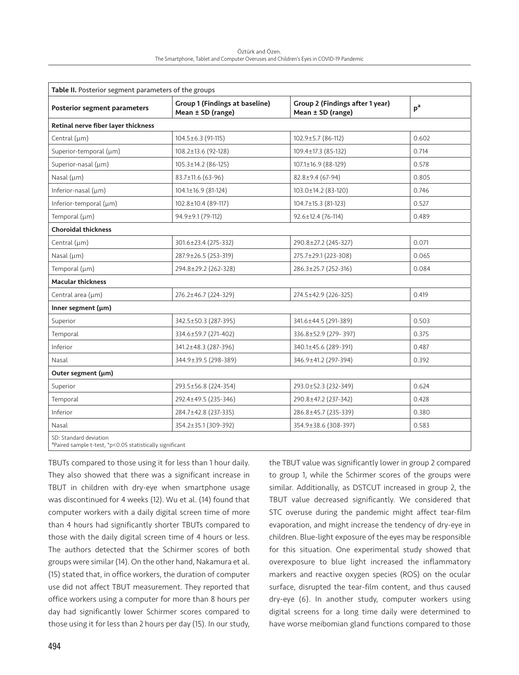| Table II. Posterior segment parameters of the groups |                                                            |                                                      |                |  |  |
|------------------------------------------------------|------------------------------------------------------------|------------------------------------------------------|----------------|--|--|
| <b>Posterior segment parameters</b>                  | <b>Group 1 (Findings at baseline)</b><br>Mean ± SD (range) | Group 2 (Findings after 1 year)<br>Mean ± SD (range) | p <sup>a</sup> |  |  |
| Retinal nerve fiber layer thickness                  |                                                            |                                                      |                |  |  |
| Central (µm)                                         | 104.5±6.3 (91-115)                                         | 102.9±5.7 (86-112)                                   | 0.602          |  |  |
| Superior-temporal (um)                               | 108.2±13.6 (92-128)                                        | 109.4±17.3 (85-132)                                  | 0.714          |  |  |
| Superior-nasal (µm)                                  | $105.3 \pm 14.2 (86 - 125)$                                | $107.1 \pm 16.9$ (88-129)                            | 0.578          |  |  |
| Nasal $(\mu m)$                                      | 83.7±11.6 (63-96)                                          | $82.8 \pm 9.4$ (67-94)                               | 0.805          |  |  |
| Inferior-nasal $(\mu m)$                             | $104.1\pm16.9$ (81-124)                                    | 103.0±14.2 (83-120)                                  | 0.746          |  |  |
| Inferior-temporal $(\mu m)$                          | 102.8±10.4 (89-117)                                        | 104.7±15.3 (81-123)                                  | 0.527          |  |  |
| Temporal (µm)                                        | 94.9±9.1 (79-112)                                          | $92.6 \pm 12.4$ (76-114)                             | 0.489          |  |  |
| <b>Choroidal thickness</b>                           |                                                            |                                                      |                |  |  |
| Central (µm)                                         | 301.6±23.4 (275-332)                                       | 290.8±27.2 (245-327)                                 | 0.071          |  |  |
| Nasal $(\mu m)$                                      | 287.9±26.5 (253-319)                                       | 275.7±29.1 (223-308)                                 | 0.065          |  |  |
| Temporal (µm)                                        | 294.8±29.2 (262-328)                                       | 286.3±25.7 (252-316)                                 | 0.084          |  |  |
| <b>Macular thickness</b>                             |                                                            |                                                      |                |  |  |
| Central area (µm)                                    | 276.2±46.7 (224-329)                                       | 274.5±42.9 (226-325)                                 | 0.419          |  |  |
| Inner segment (µm)                                   |                                                            |                                                      |                |  |  |
| Superior                                             | 342.5±50.3 (287-395)                                       | 341.6±44.5 (291-389)                                 | 0.503          |  |  |
| Temporal                                             | 334.6±59.7 (271-402)                                       | 336.8±52.9 (279-397)                                 | 0.375          |  |  |
| Inferior                                             | 341.2±48.3 (287-396)                                       | 340.1±45.6 (289-391)                                 | 0.487          |  |  |
| Nasal                                                | 344.9±39.5 (298-389)                                       | 346.9±41.2 (297-394)                                 | 0.392          |  |  |
| Outer segment (µm)                                   |                                                            |                                                      |                |  |  |
| Superior                                             | 293.5±56.8 (224-354)                                       | 293.0±52.3 (232-349)                                 | 0.624          |  |  |
| Temporal                                             | 292.4±49.5 (235-346)                                       | 290.8±47.2 (237-342)                                 | 0.428          |  |  |
| Inferior                                             | 284.7±42.8 (237-335)                                       | 286.8±45.7 (235-339)                                 | 0.380          |  |  |
| Nasal                                                | 354.2±35.1 (309-392)                                       | 354.9±38.6 (308-397)                                 | 0.583          |  |  |
| SD: Standard deviation                               |                                                            |                                                      |                |  |  |

aPaired sample t-test, \*p<0.05 statistically significant

TBUTs compared to those using it for less than 1 hour daily. They also showed that there was a significant increase in TBUT in children with dry-eye when smartphone usage was discontinued for 4 weeks (12). Wu et al. (14) found that computer workers with a daily digital screen time of more than 4 hours had significantly shorter TBUTs compared to those with the daily digital screen time of 4 hours or less. The authors detected that the Schirmer scores of both groups were similar (14). On the other hand, Nakamura et al. (15) stated that, in office workers, the duration of computer use did not affect TBUT measurement. They reported that office workers using a computer for more than 8 hours per day had significantly lower Schirmer scores compared to those using it for less than 2 hours per day (15). In our study, the TBUT value was significantly lower in group 2 compared to group 1, while the Schirmer scores of the groups were similar. Additionally, as DSTCUT increased in group 2, the TBUT value decreased significantly. We considered that STC overuse during the pandemic might affect tear-film evaporation, and might increase the tendency of dry-eye in children. Blue-light exposure of the eyes may be responsible for this situation. One experimental study showed that overexposure to blue light increased the inflammatory markers and reactive oxygen species (ROS) on the ocular surface, disrupted the tear-film content, and thus caused dry-eye (6). In another study, computer workers using digital screens for a long time daily were determined to have worse meibomian gland functions compared to those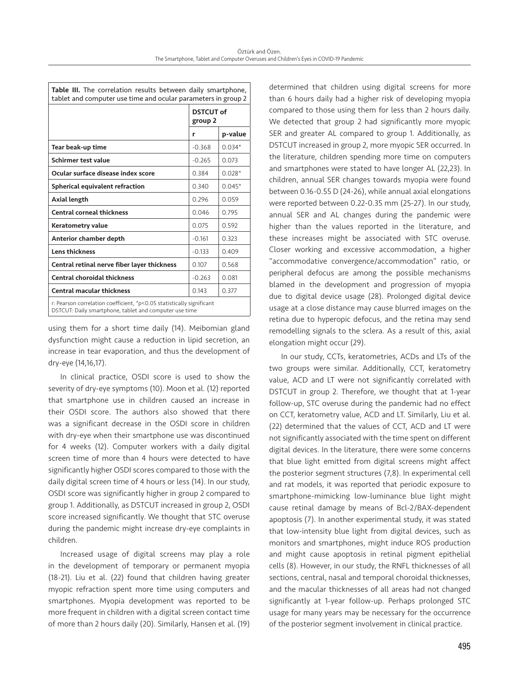| tablet and computer use time and ocular parameters in group 2                                                                   |                             |          |  |  |
|---------------------------------------------------------------------------------------------------------------------------------|-----------------------------|----------|--|--|
|                                                                                                                                 | <b>DSTCUT of</b><br>group 2 |          |  |  |
|                                                                                                                                 | r                           | p-value  |  |  |
| Tear beak-up time                                                                                                               | $-0.368$                    | $0.034*$ |  |  |
| Schirmer test value                                                                                                             | $-0.265$                    | 0.073    |  |  |
| Ocular surface disease index score                                                                                              | 0.384                       | $0.028*$ |  |  |
| Spherical equivalent refraction                                                                                                 | 0.340                       | $0.045*$ |  |  |
| Axial length                                                                                                                    | 0.296                       | 0.059    |  |  |
| <b>Central corneal thickness</b>                                                                                                | 0.046                       | 0.795    |  |  |
| Keratometry value                                                                                                               | 0.075                       | 0.592    |  |  |
| Anterior chamber depth                                                                                                          | $-0.161$                    | 0.323    |  |  |
| <b>Lens thickness</b>                                                                                                           | $-0.133$                    | 0.409    |  |  |
| Central retinal nerve fiber layer thickness                                                                                     | 0.107                       | 0.568    |  |  |
| <b>Central choroidal thickness</b>                                                                                              | $-0.263$                    | 0.081    |  |  |
| <b>Central macular thickness</b>                                                                                                | 0.143                       | 0.377    |  |  |
| r: Pearson correlation coefficient, *p<0.05 statistically significant<br>DSTCUT: Daily smartphone, tablet and computer use time |                             |          |  |  |

Table III. The correlation results between daily smartphone,

using them for a short time daily (14). Meibomian gland dysfunction might cause a reduction in lipid secretion, an increase in tear evaporation, and thus the development of dry-eye (14,16,17).

In clinical practice, OSDI score is used to show the severity of dry-eye symptoms (10). Moon et al. (12) reported that smartphone use in children caused an increase in their OSDI score. The authors also showed that there was a significant decrease in the OSDI score in children with dry-eye when their smartphone use was discontinued for 4 weeks (12). Computer workers with a daily digital screen time of more than 4 hours were detected to have significantly higher OSDI scores compared to those with the daily digital screen time of 4 hours or less (14). In our study, OSDI score was significantly higher in group 2 compared to group 1. Additionally, as DSTCUT increased in group 2, OSDI score increased significantly. We thought that STC overuse during the pandemic might increase dry-eye complaints in children.

Increased usage of digital screens may play a role in the development of temporary or permanent myopia (18-21). Liu et al. (22) found that children having greater myopic refraction spent more time using computers and smartphones. Myopia development was reported to be more frequent in children with a digital screen contact time of more than 2 hours daily (20). Similarly, Hansen et al. (19)

determined that children using digital screens for more than 6 hours daily had a higher risk of developing myopia compared to those using them for less than 2 hours daily. We detected that group 2 had significantly more myopic SER and greater AL compared to group 1. Additionally, as DSTCUT increased in group 2, more myopic SER occurred. In the literature, children spending more time on computers and smartphones were stated to have longer AL (22,23). In children, annual SER changes towards myopia were found between 0.16-0.55 D (24-26), while annual axial elongations were reported between 0.22-0.35 mm (25-27). In our study, annual SER and AL changes during the pandemic were higher than the values reported in the literature, and these increases might be associated with STC overuse. Closer working and excessive accommodation, a higher "accommodative convergence/accommodation" ratio, or peripheral defocus are among the possible mechanisms blamed in the development and progression of myopia due to digital device usage (28). Prolonged digital device usage at a close distance may cause blurred images on the retina due to hyperopic defocus, and the retina may send remodelling signals to the sclera. As a result of this, axial elongation might occur (29).

In our study, CCTs, keratometries, ACDs and LTs of the two groups were similar. Additionally, CCT, keratometry value, ACD and LT were not significantly correlated with DSTCUT in group 2. Therefore, we thought that at 1-year follow-up, STC overuse during the pandemic had no effect on CCT, keratometry value, ACD and LT. Similarly, Liu et al. (22) determined that the values of CCT, ACD and LT were not significantly associated with the time spent on different digital devices. In the literature, there were some concerns that blue light emitted from digital screens might affect the posterior segment structures (7,8). In experimental cell and rat models, it was reported that periodic exposure to smartphone-mimicking low-luminance blue light might cause retinal damage by means of Bcl-2/BAX-dependent apoptosis (7). In another experimental study, it was stated that low-intensity blue light from digital devices, such as monitors and smartphones, might induce ROS production and might cause apoptosis in retinal pigment epithelial cells (8). However, in our study, the RNFL thicknesses of all sections, central, nasal and temporal choroidal thicknesses, and the macular thicknesses of all areas had not changed significantly at 1-year follow-up. Perhaps prolonged STC usage for many years may be necessary for the occurrence of the posterior segment involvement in clinical practice.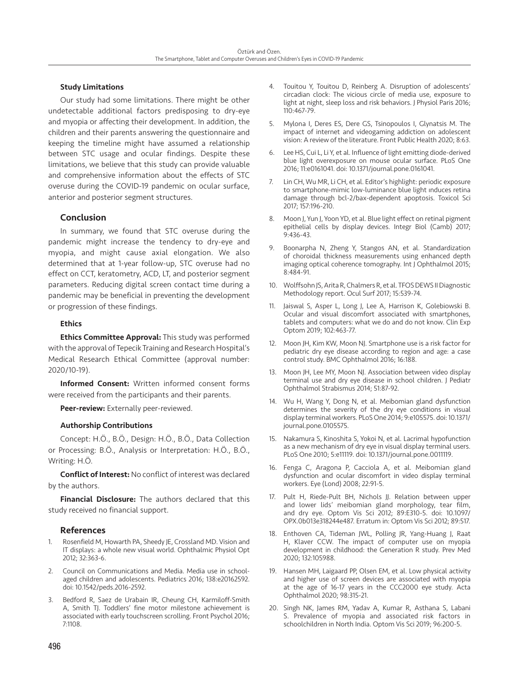## Study Limitations

Our study had some limitations. There might be other undetectable additional factors predisposing to dry-eye and myopia or affecting their development. In addition, the children and their parents answering the questionnaire and keeping the timeline might have assumed a relationship between STC usage and ocular findings. Despite these limitations, we believe that this study can provide valuable and comprehensive information about the effects of STC overuse during the COVID-19 pandemic on ocular surface, anterior and posterior segment structures.

# Conclusion

In summary, we found that STC overuse during the pandemic might increase the tendency to dry-eye and myopia, and might cause axial elongation. We also determined that at 1-year follow-up, STC overuse had no effect on CCT, keratometry, ACD, LT, and posterior segment parameters. Reducing digital screen contact time during a pandemic may be beneficial in preventing the development or progression of these findings.

### **Ethics**

**Ethics Committee Approval:** This study was performed with the approval of Tepecik Training and Research Hospital's Medical Research Ethical Committee (approval number: 2020/10-19).

Informed Consent: Written informed consent forms were received from the participants and their parents.

Peer-review: Externally peer-reviewed.

#### Authorship Contributions

Concept: H.Ö., B.Ö., Design: H.Ö., B.Ö., Data Collection or Processing: B.Ö., Analysis or Interpretation: H.Ö., B.Ö., Writing: H.Ö.

Conflict of Interest: No conflict of interest was declared by the authors.

Financial Disclosure: The authors declared that this study received no financial support.

# References

- 1. Rosenfield M, Howarth PA, Sheedy JE, Crossland MD. Vision and IT displays: a whole new visual world. Ophthalmic Physiol Opt 2012; 32:363-6.
- 2. Council on Communications and Media. Media use in schoolaged children and adolescents. Pediatrics 2016; 138:e20162592. doi: 10.1542/peds.2016-2592.
- 3. Bedford R, Saez de Urabain IR, Cheung CH, Karmiloff-Smith A, Smith TJ. Toddlers' fine motor milestone achievement is associated with early touchscreen scrolling. Front Psychol 2016; 7:1108.
- 4. Touitou Y, Touitou D, Reinberg A. Disruption of adolescents' circadian clock: The vicious circle of media use, exposure to light at night, sleep loss and risk behaviors. J Physiol Paris 2016; 110:467-79.
- 5. Mylona I, Deres ES, Dere GS, Tsinopoulos I, Glynatsis M. The impact of internet and videogaming addiction on adolescent vision: A review of the literature. Front Public Health 2020; 8:63.
- 6. Lee HS, Cui L, Li Y, et al. Influence of light emitting diode-derived blue light overexposure on mouse ocular surface. PLoS One 2016; 11:e0161041. doi: 10.1371/journal.pone.0161041.
- Lin CH, Wu MR, Li CH, et al. Editor's highlight: periodic exposure to smartphone-mimic low-luminance blue light ınduces retina damage through bcl-2/bax-dependent apoptosis. Toxicol Sci 2017; 157:196-210.
- 8. Moon J, Yun J, Yoon YD, et al. Blue light effect on retinal pigment epithelial cells by display devices. Integr Biol (Camb) 2017; 9:436-43.
- 9. Boonarpha N, Zheng Y, Stangos AN, et al. Standardization of choroidal thickness measurements using enhanced depth imaging optical coherence tomography. Int J Ophthalmol 2015; 8:484-91.
- 10. Wolffsohn JS, Arita R, Chalmers R, et al. TFOS DEWS II Diagnostic Methodology report. Ocul Surf 2017; 15:539-74.
- 11. Jaiswal S, Asper L, Long J, Lee A, Harrison K, Golebiowski B. Ocular and visual discomfort associated with smartphones, tablets and computers: what we do and do not know. Clin Exp Optom 2019; 102:463-77.
- 12. Moon JH, Kim KW, Moon NJ. Smartphone use is a risk factor for pediatric dry eye disease according to region and age: a case control study. BMC Ophthalmol 2016; 16:188.
- 13. Moon JH, Lee MY, Moon NJ. Association between video display terminal use and dry eye disease in school children. J Pediatr Ophthalmol Strabismus 2014; 51:87-92.
- 14. Wu H, Wang Y, Dong N, et al. Meibomian gland dysfunction determines the severity of the dry eye conditions in visual display terminal workers. PLoS One 2014; 9:e105575. doi: 10.1371/ journal.pone.0105575.
- 15. Nakamura S, Kinoshita S, Yokoi N, et al. Lacrimal hypofunction as a new mechanism of dry eye in visual display terminal users. PLoS One 2010; 5:e11119. doi: 10.1371/journal.pone.0011119.
- 16. Fenga C, Aragona P, Cacciola A, et al. Meibomian gland dysfunction and ocular discomfort in video display terminal workers. Eye (Lond) 2008; 22:91-5.
- 17. Pult H, Riede-Pult BH, Nichols JJ. Relation between upper and lower lids' meibomian gland morphology, tear film, and dry eye. Optom Vis Sci 2012; 89:E310-5. doi: 10.1097/ OPX.0b013e318244e487. Erratum in: Optom Vis Sci 2012; 89:517.
- 18. Enthoven CA, Tideman JWL, Polling JR, Yang-Huang J, Raat H, Klaver CCW. The impact of computer use on myopia development in childhood: the Generation R study. Prev Med 2020; 132:105988.
- 19. Hansen MH, Laigaard PP, Olsen EM, et al. Low physical activity and higher use of screen devices are associated with myopia at the age of 16-17 years in the CCC2000 eye study. Acta Ophthalmol 2020; 98:315-21.
- 20. Singh NK, James RM, Yadav A, Kumar R, Asthana S, Labani S. Prevalence of myopia and associated risk factors in schoolchildren in North India. Optom Vis Sci 2019; 96:200-5.